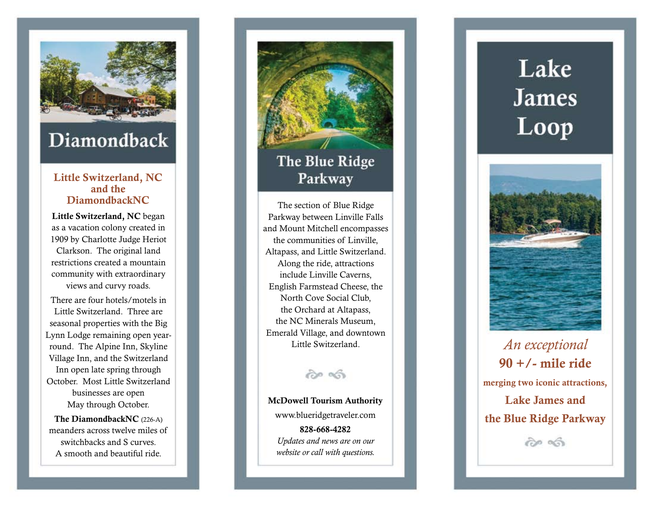

## Diamondback

## **Little Switzerland, NC** and the<br>DiamondbackNC

**Little Switzerland, NC** began as a vacation colony created in 1909 by Charlotte Judge Heriot Clarkson. The original land restrictions created a mountain community with extraordinary views and curvy roads.

There are four hotels/motels in Little Switzerland. Three are seasonal properties with the Big Lynn Lodge remaining open yearround. The Alpine Inn, Skyline Village Inn, and the Switzerland Inn open late spring through October. Most Little Switzerland businesses are open May through October.

**The DiamondbackNC** (226-A) meanders across twelve miles of switchbacks and S curves. A smooth and beautiful ride.



Parkway between Linville Falls and Mount Mitchell encompasses the communities of Linville, Altapass, and Little Switzerland. Along the ride, attractions include Linville Caverns, English Farmstead Cheese, the North Cove Social Club, the Orchard at Altapass, the NC Minerals Museum, Emerald Village, and downtown Little Switzerland.

## $\partial$   $\infty$

**McDowell Tourism Authority** www.blueridgetraveler.com **828-668-4282** *Updates and news are on our* 

*website or call with questions.*

## Lake **James** Loop



*An exceptional*  **90 +/- mile ride merging two iconic attractions, Lake James and the Blue Ridge Parkway**

 $\partial \phi$